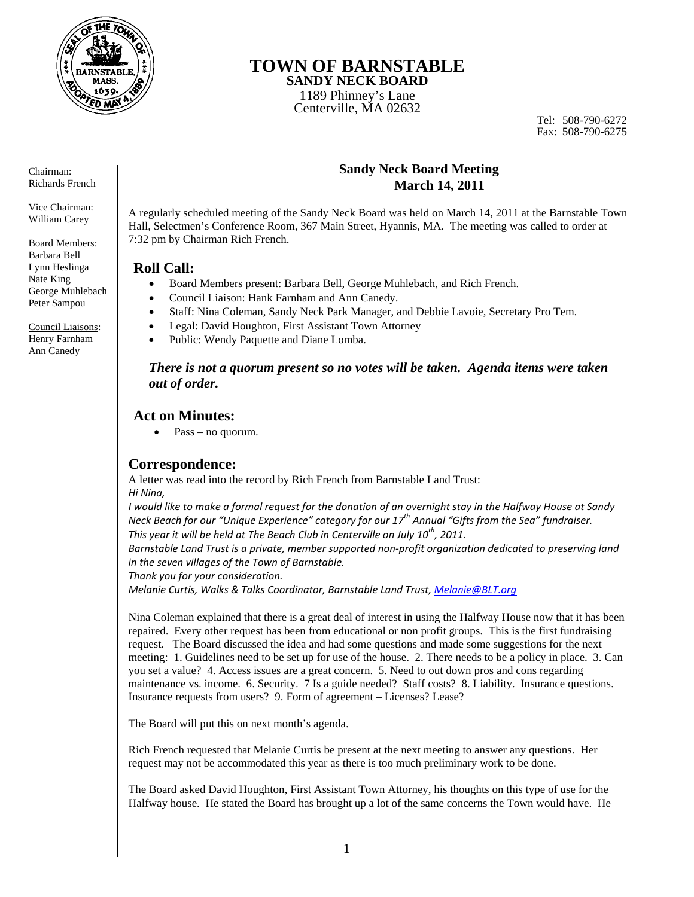

# **TOWN OF BARNSTABLE**

**SANDY NECK BOARD**  1189 Phinney's Lane Centerville, MA 02632

Tel: 508-790-6272 Fax: 508-790-6275

### **Sandy Neck Board Meeting March 14, 2011**

A regularly scheduled meeting of the Sandy Neck Board was held on March 14, 2011 at the Barnstable Town Hall, Selectmen's Conference Room, 367 Main Street, Hyannis, MA. The meeting was called to order at 7:32 pm by Chairman Rich French.

### **Roll Call:**

- Board Members present: Barbara Bell, George Muhlebach, and Rich French.
- Council Liaison: Hank Farnham and Ann Canedy.
- Staff: Nina Coleman, Sandy Neck Park Manager, and Debbie Lavoie, Secretary Pro Tem.
- Legal: David Houghton, First Assistant Town Attorney
- Public: Wendy Paquette and Diane Lomba.

### *There is not a quorum present so no votes will be taken. Agenda items were taken out of order.*

## **Act on Minutes:**

 $\bullet$  Pass – no quorum.

## **Correspondence:**

A letter was read into the record by Rich French from Barnstable Land Trust: *Hi Nina,*

I would like to make a formal request for the donation of an overnight stay in the Halfway House at Sandy *Neck Beach for our "Unique Experience" category for our 17th Annual "Gifts from the Sea" fundraiser. This year it will be held at The Beach Club in Centerville on July 10th, 2011.*

*Barnstable Land Trust is a private, member supported non‐profit organization dedicated to preserving land in the seven villages of the Town of Barnstable.*

*Thank you for your consideration.*

*Melanie Curtis, Walks & Talks Coordinator, Barnstable Land Trust, Melanie@BLT.org*

Nina Coleman explained that there is a great deal of interest in using the Halfway House now that it has been repaired. Every other request has been from educational or non profit groups. This is the first fundraising request. The Board discussed the idea and had some questions and made some suggestions for the next meeting: 1. Guidelines need to be set up for use of the house. 2. There needs to be a policy in place. 3. Can you set a value? 4. Access issues are a great concern. 5. Need to out down pros and cons regarding maintenance vs. income. 6. Security. 7 Is a guide needed? Staff costs? 8. Liability. Insurance questions. Insurance requests from users? 9. Form of agreement – Licenses? Lease?

The Board will put this on next month's agenda.

Rich French requested that Melanie Curtis be present at the next meeting to answer any questions. Her request may not be accommodated this year as there is too much preliminary work to be done.

The Board asked David Houghton, First Assistant Town Attorney, his thoughts on this type of use for the Halfway house. He stated the Board has brought up a lot of the same concerns the Town would have. He

Chairman: Richards French

Vice Chairman: William Carey

Board Members: Barbara Bell Lynn Heslinga Nate King George Muhlebach Peter Sampou

Council Liaisons: Henry Farnham Ann Canedy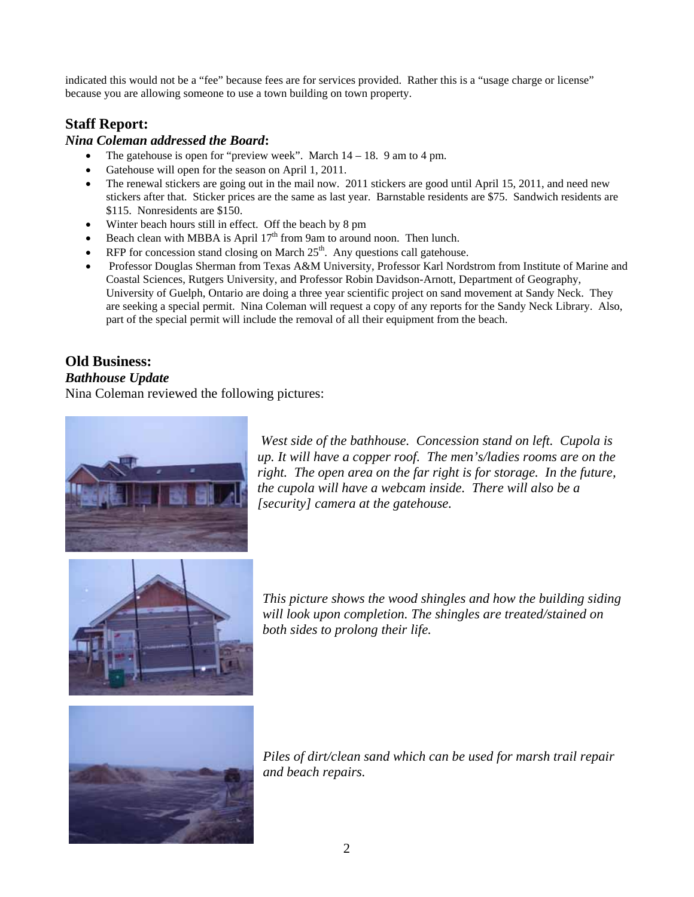indicated this would not be a "fee" because fees are for services provided. Rather this is a "usage charge or license" because you are allowing someone to use a town building on town property.

## **Staff Report:**

### *Nina Coleman addressed the Board***:**

- The gatehouse is open for "preview week". March  $14 18$ . 9 am to 4 pm.
- Gatehouse will open for the season on April 1, 2011.
- The renewal stickers are going out in the mail now. 2011 stickers are good until April 15, 2011, and need new stickers after that. Sticker prices are the same as last year. Barnstable residents are \$75. Sandwich residents are \$115. Nonresidents are \$150.
- Winter beach hours still in effect. Off the beach by 8 pm
- Beach clean with MBBA is April  $17<sup>th</sup>$  from 9am to around noon. Then lunch.
- $\bullet$  RFP for concession stand closing on March 25<sup>th</sup>. Any questions call gatehouse.
- Professor Douglas Sherman from Texas A&M University, Professor Karl Nordstrom from Institute of Marine and Coastal Sciences, Rutgers University, and Professor Robin Davidson-Arnott, Department of Geography, University of Guelph, Ontario are doing a three year scientific project on sand movement at Sandy Neck. They are seeking a special permit. Nina Coleman will request a copy of any reports for the Sandy Neck Library. Also, part of the special permit will include the removal of all their equipment from the beach.

## **Old Business:**

### *Bathhouse Update*

Nina Coleman reviewed the following pictures:



*West side of the bathhouse. Concession stand on left. Cupola is up. It will have a copper roof. The men's/ladies rooms are on the right. The open area on the far right is for storage. In the future, the cupola will have a webcam inside. There will also be a [security] camera at the gatehouse.* 



*This picture shows the wood shingles and how the building siding will look upon completion. The shingles are treated/stained on both sides to prolong their life.* 



*Piles of dirt/clean sand which can be used for marsh trail repair and beach repairs.*